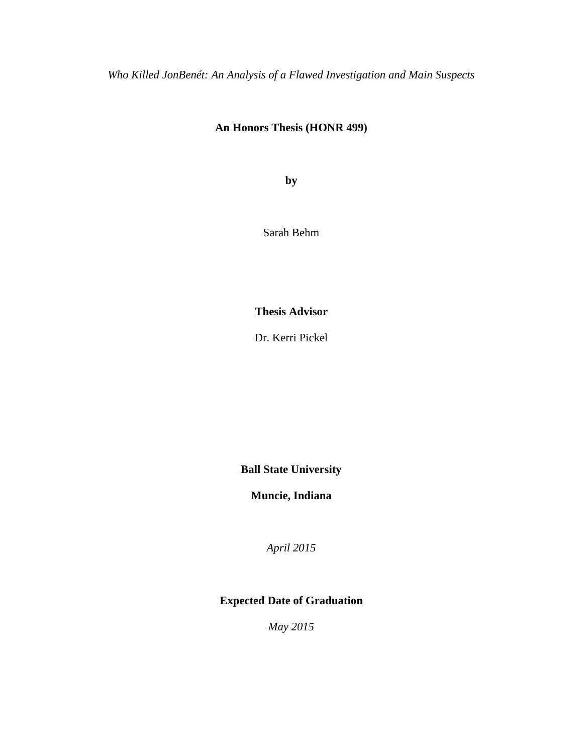*Who Killed JonBenét: An Analysis of a Flawed Investigation and Main Suspects*

# **An Honors Thesis (HONR 499)**

**by**

Sarah Behm

**Thesis Advisor**

Dr. Kerri Pickel

**Ball State University**

**Muncie, Indiana**

*April 2015*

# **Expected Date of Graduation**

*May 2015*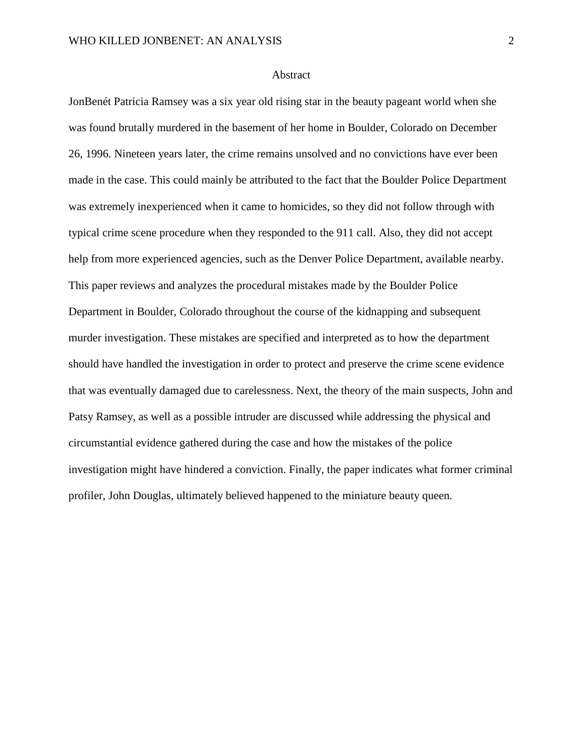### Abstract

JonBenét Patricia Ramsey was a six year old rising star in the beauty pageant world when she was found brutally murdered in the basement of her home in Boulder, Colorado on December 26, 1996. Nineteen years later, the crime remains unsolved and no convictions have ever been made in the case. This could mainly be attributed to the fact that the Boulder Police Department was extremely inexperienced when it came to homicides, so they did not follow through with typical crime scene procedure when they responded to the 911 call. Also, they did not accept help from more experienced agencies, such as the Denver Police Department, available nearby. This paper reviews and analyzes the procedural mistakes made by the Boulder Police Department in Boulder, Colorado throughout the course of the kidnapping and subsequent murder investigation. These mistakes are specified and interpreted as to how the department should have handled the investigation in order to protect and preserve the crime scene evidence that was eventually damaged due to carelessness. Next, the theory of the main suspects, John and Patsy Ramsey, as well as a possible intruder are discussed while addressing the physical and circumstantial evidence gathered during the case and how the mistakes of the police investigation might have hindered a conviction. Finally, the paper indicates what former criminal profiler, John Douglas, ultimately believed happened to the miniature beauty queen.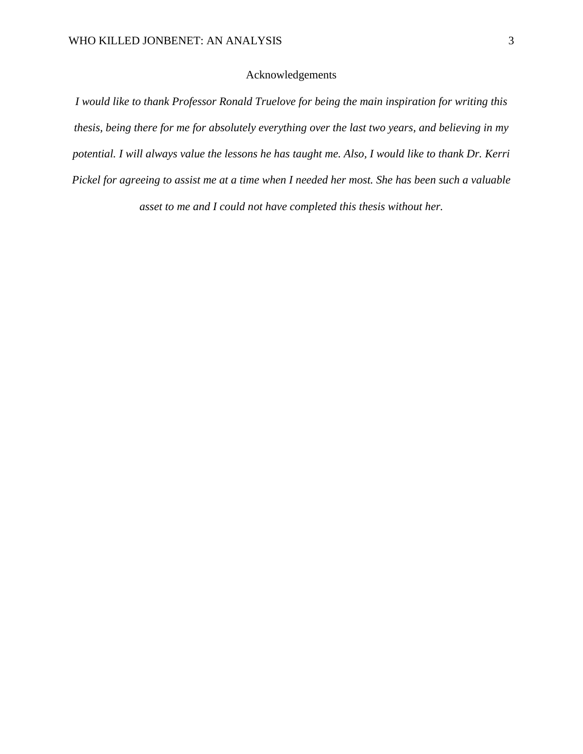## Acknowledgements

*I would like to thank Professor Ronald Truelove for being the main inspiration for writing this thesis, being there for me for absolutely everything over the last two years, and believing in my potential. I will always value the lessons he has taught me. Also, I would like to thank Dr. Kerri Pickel for agreeing to assist me at a time when I needed her most. She has been such a valuable asset to me and I could not have completed this thesis without her.*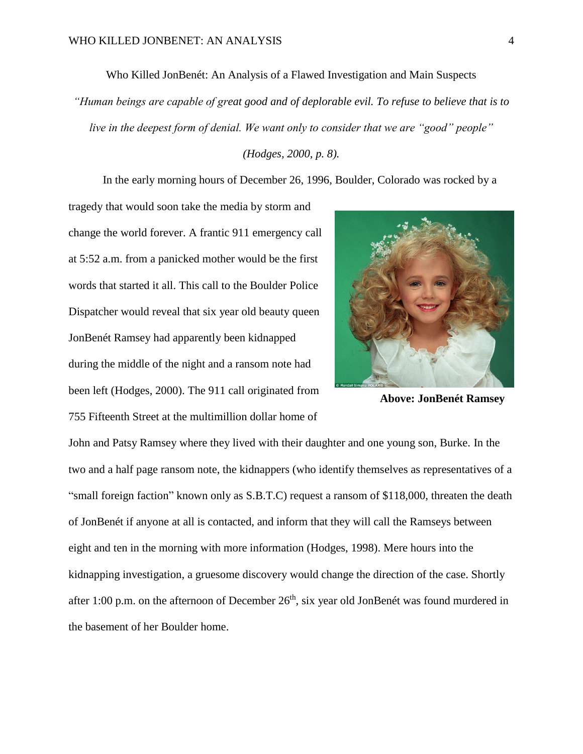Who Killed JonBenét: An Analysis of a Flawed Investigation and Main Suspects

*"Human beings are capable of great good and of deplorable evil. To refuse to believe that is to live in the deepest form of denial. We want only to consider that we are "good" people"* 

*(Hodges, 2000, p. 8).*

In the early morning hours of December 26, 1996, Boulder, Colorado was rocked by a

tragedy that would soon take the media by storm and change the world forever. A frantic 911 emergency call at 5:52 a.m. from a panicked mother would be the first words that started it all. This call to the Boulder Police Dispatcher would reveal that six year old beauty queen JonBenét Ramsey had apparently been kidnapped during the middle of the night and a ransom note had been left (Hodges, 2000). The 911 call originated from 755 Fifteenth Street at the multimillion dollar home of



**Above: JonBenét Ramsey**

John and Patsy Ramsey where they lived with their daughter and one young son, Burke. In the two and a half page ransom note, the kidnappers (who identify themselves as representatives of a "small foreign faction" known only as S.B.T.C) request a ransom of \$118,000, threaten the death of JonBenét if anyone at all is contacted, and inform that they will call the Ramseys between eight and ten in the morning with more information (Hodges, 1998). Mere hours into the kidnapping investigation, a gruesome discovery would change the direction of the case. Shortly after 1:00 p.m. on the afternoon of December  $26<sup>th</sup>$ , six year old JonBenét was found murdered in the basement of her Boulder home.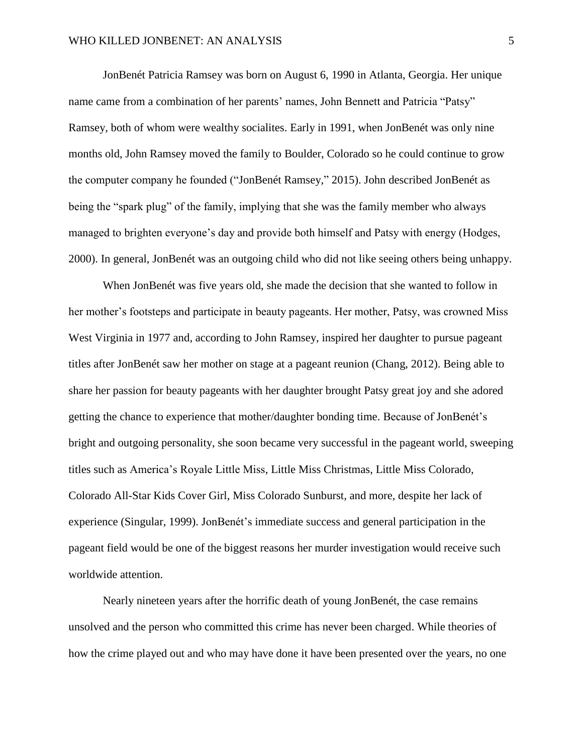JonBenét Patricia Ramsey was born on August 6, 1990 in Atlanta, Georgia. Her unique name came from a combination of her parents' names, John Bennett and Patricia "Patsy" Ramsey, both of whom were wealthy socialites. Early in 1991, when JonBenét was only nine months old, John Ramsey moved the family to Boulder, Colorado so he could continue to grow the computer company he founded ("JonBenét Ramsey," 2015). John described JonBenét as being the "spark plug" of the family, implying that she was the family member who always managed to brighten everyone's day and provide both himself and Patsy with energy (Hodges, 2000). In general, JonBenét was an outgoing child who did not like seeing others being unhappy.

When JonBenét was five years old, she made the decision that she wanted to follow in her mother's footsteps and participate in beauty pageants. Her mother, Patsy, was crowned Miss West Virginia in 1977 and, according to John Ramsey, inspired her daughter to pursue pageant titles after JonBenét saw her mother on stage at a pageant reunion (Chang, 2012). Being able to share her passion for beauty pageants with her daughter brought Patsy great joy and she adored getting the chance to experience that mother/daughter bonding time. Because of JonBenét's bright and outgoing personality, she soon became very successful in the pageant world, sweeping titles such as America's Royale Little Miss, Little Miss Christmas, Little Miss Colorado, Colorado All-Star Kids Cover Girl, Miss Colorado Sunburst, and more, despite her lack of experience (Singular, 1999). JonBenét's immediate success and general participation in the pageant field would be one of the biggest reasons her murder investigation would receive such worldwide attention.

Nearly nineteen years after the horrific death of young JonBenét, the case remains unsolved and the person who committed this crime has never been charged. While theories of how the crime played out and who may have done it have been presented over the years, no one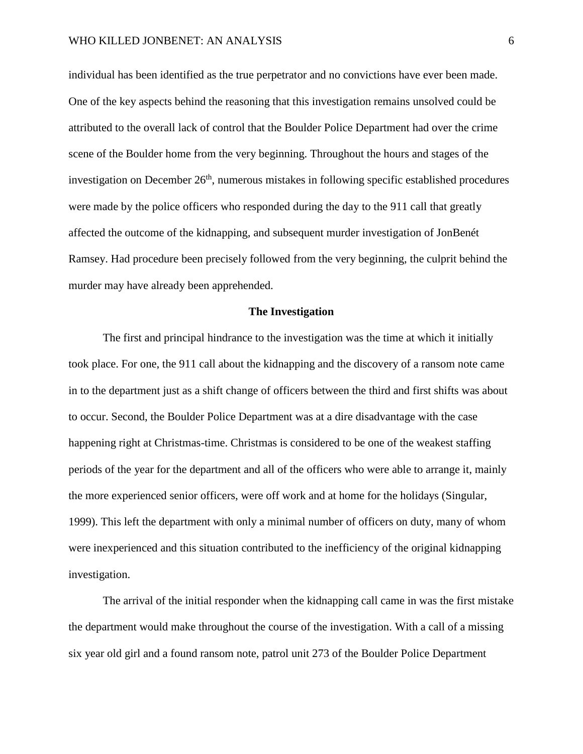individual has been identified as the true perpetrator and no convictions have ever been made. One of the key aspects behind the reasoning that this investigation remains unsolved could be attributed to the overall lack of control that the Boulder Police Department had over the crime scene of the Boulder home from the very beginning. Throughout the hours and stages of the investigation on December  $26<sup>th</sup>$ , numerous mistakes in following specific established procedures were made by the police officers who responded during the day to the 911 call that greatly affected the outcome of the kidnapping, and subsequent murder investigation of JonBenét Ramsey. Had procedure been precisely followed from the very beginning, the culprit behind the murder may have already been apprehended.

## **The Investigation**

The first and principal hindrance to the investigation was the time at which it initially took place. For one, the 911 call about the kidnapping and the discovery of a ransom note came in to the department just as a shift change of officers between the third and first shifts was about to occur. Second, the Boulder Police Department was at a dire disadvantage with the case happening right at Christmas-time. Christmas is considered to be one of the weakest staffing periods of the year for the department and all of the officers who were able to arrange it, mainly the more experienced senior officers, were off work and at home for the holidays (Singular, 1999). This left the department with only a minimal number of officers on duty, many of whom were inexperienced and this situation contributed to the inefficiency of the original kidnapping investigation.

The arrival of the initial responder when the kidnapping call came in was the first mistake the department would make throughout the course of the investigation. With a call of a missing six year old girl and a found ransom note, patrol unit 273 of the Boulder Police Department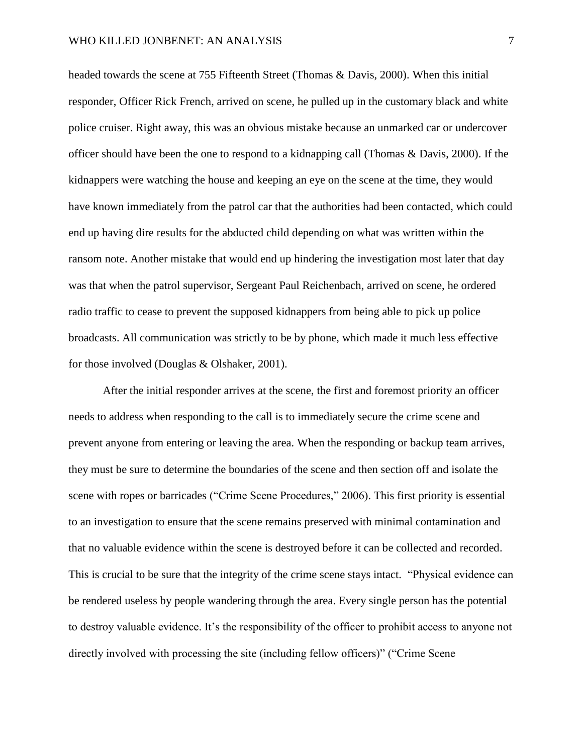headed towards the scene at 755 Fifteenth Street (Thomas & Davis, 2000). When this initial responder, Officer Rick French, arrived on scene, he pulled up in the customary black and white police cruiser. Right away, this was an obvious mistake because an unmarked car or undercover officer should have been the one to respond to a kidnapping call (Thomas & Davis, 2000). If the kidnappers were watching the house and keeping an eye on the scene at the time, they would have known immediately from the patrol car that the authorities had been contacted, which could end up having dire results for the abducted child depending on what was written within the ransom note. Another mistake that would end up hindering the investigation most later that day was that when the patrol supervisor, Sergeant Paul Reichenbach, arrived on scene, he ordered radio traffic to cease to prevent the supposed kidnappers from being able to pick up police broadcasts. All communication was strictly to be by phone, which made it much less effective for those involved (Douglas & Olshaker, 2001).

After the initial responder arrives at the scene, the first and foremost priority an officer needs to address when responding to the call is to immediately secure the crime scene and prevent anyone from entering or leaving the area. When the responding or backup team arrives, they must be sure to determine the boundaries of the scene and then section off and isolate the scene with ropes or barricades ("Crime Scene Procedures," 2006). This first priority is essential to an investigation to ensure that the scene remains preserved with minimal contamination and that no valuable evidence within the scene is destroyed before it can be collected and recorded. This is crucial to be sure that the integrity of the crime scene stays intact. "Physical evidence can be rendered useless by people wandering through the area. Every single person has the potential to destroy valuable evidence. It's the responsibility of the officer to prohibit access to anyone not directly involved with processing the site (including fellow officers)" ("Crime Scene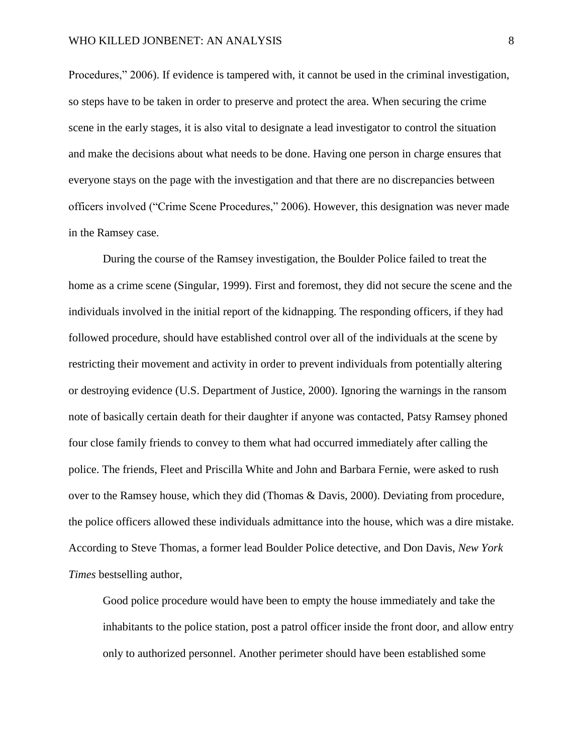Procedures," 2006). If evidence is tampered with, it cannot be used in the criminal investigation, so steps have to be taken in order to preserve and protect the area. When securing the crime scene in the early stages, it is also vital to designate a lead investigator to control the situation and make the decisions about what needs to be done. Having one person in charge ensures that everyone stays on the page with the investigation and that there are no discrepancies between officers involved ("Crime Scene Procedures," 2006). However, this designation was never made in the Ramsey case.

During the course of the Ramsey investigation, the Boulder Police failed to treat the home as a crime scene (Singular, 1999). First and foremost, they did not secure the scene and the individuals involved in the initial report of the kidnapping. The responding officers, if they had followed procedure, should have established control over all of the individuals at the scene by restricting their movement and activity in order to prevent individuals from potentially altering or destroying evidence (U.S. Department of Justice, 2000). Ignoring the warnings in the ransom note of basically certain death for their daughter if anyone was contacted, Patsy Ramsey phoned four close family friends to convey to them what had occurred immediately after calling the police. The friends, Fleet and Priscilla White and John and Barbara Fernie, were asked to rush over to the Ramsey house, which they did (Thomas & Davis, 2000). Deviating from procedure, the police officers allowed these individuals admittance into the house, which was a dire mistake. According to Steve Thomas, a former lead Boulder Police detective, and Don Davis, *New York Times* bestselling author,

Good police procedure would have been to empty the house immediately and take the inhabitants to the police station, post a patrol officer inside the front door, and allow entry only to authorized personnel. Another perimeter should have been established some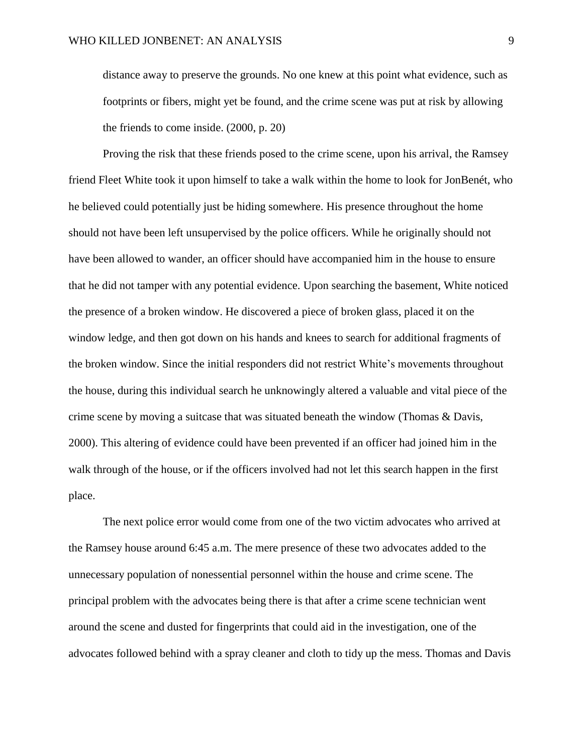distance away to preserve the grounds. No one knew at this point what evidence, such as footprints or fibers, might yet be found, and the crime scene was put at risk by allowing the friends to come inside. (2000, p. 20)

Proving the risk that these friends posed to the crime scene, upon his arrival, the Ramsey friend Fleet White took it upon himself to take a walk within the home to look for JonBenét, who he believed could potentially just be hiding somewhere. His presence throughout the home should not have been left unsupervised by the police officers. While he originally should not have been allowed to wander, an officer should have accompanied him in the house to ensure that he did not tamper with any potential evidence. Upon searching the basement, White noticed the presence of a broken window. He discovered a piece of broken glass, placed it on the window ledge, and then got down on his hands and knees to search for additional fragments of the broken window. Since the initial responders did not restrict White's movements throughout the house, during this individual search he unknowingly altered a valuable and vital piece of the crime scene by moving a suitcase that was situated beneath the window (Thomas & Davis, 2000). This altering of evidence could have been prevented if an officer had joined him in the walk through of the house, or if the officers involved had not let this search happen in the first place.

The next police error would come from one of the two victim advocates who arrived at the Ramsey house around 6:45 a.m. The mere presence of these two advocates added to the unnecessary population of nonessential personnel within the house and crime scene. The principal problem with the advocates being there is that after a crime scene technician went around the scene and dusted for fingerprints that could aid in the investigation, one of the advocates followed behind with a spray cleaner and cloth to tidy up the mess. Thomas and Davis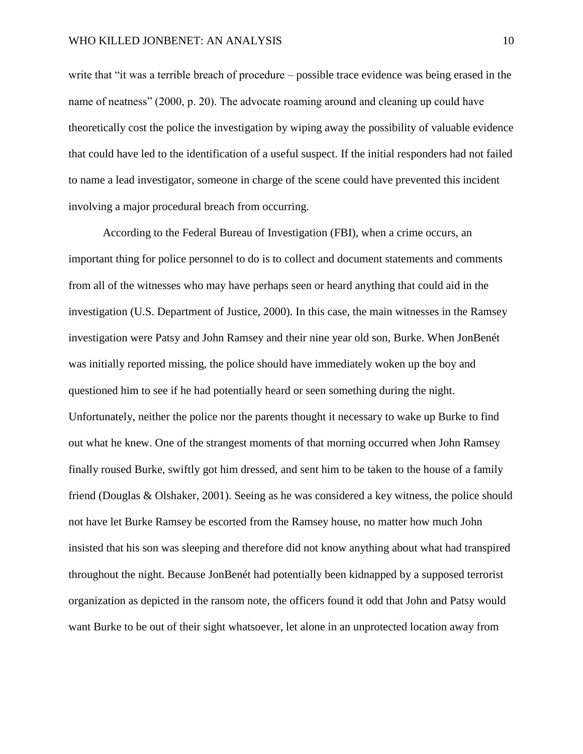write that "it was a terrible breach of procedure – possible trace evidence was being erased in the name of neatness" (2000, p. 20). The advocate roaming around and cleaning up could have theoretically cost the police the investigation by wiping away the possibility of valuable evidence that could have led to the identification of a useful suspect. If the initial responders had not failed to name a lead investigator, someone in charge of the scene could have prevented this incident involving a major procedural breach from occurring.

According to the Federal Bureau of Investigation (FBI), when a crime occurs, an important thing for police personnel to do is to collect and document statements and comments from all of the witnesses who may have perhaps seen or heard anything that could aid in the investigation (U.S. Department of Justice, 2000). In this case, the main witnesses in the Ramsey investigation were Patsy and John Ramsey and their nine year old son, Burke. When JonBenét was initially reported missing, the police should have immediately woken up the boy and questioned him to see if he had potentially heard or seen something during the night. Unfortunately, neither the police nor the parents thought it necessary to wake up Burke to find out what he knew. One of the strangest moments of that morning occurred when John Ramsey finally roused Burke, swiftly got him dressed, and sent him to be taken to the house of a family friend (Douglas & Olshaker, 2001). Seeing as he was considered a key witness, the police should not have let Burke Ramsey be escorted from the Ramsey house, no matter how much John insisted that his son was sleeping and therefore did not know anything about what had transpired throughout the night. Because JonBenét had potentially been kidnapped by a supposed terrorist organization as depicted in the ransom note, the officers found it odd that John and Patsy would want Burke to be out of their sight whatsoever, let alone in an unprotected location away from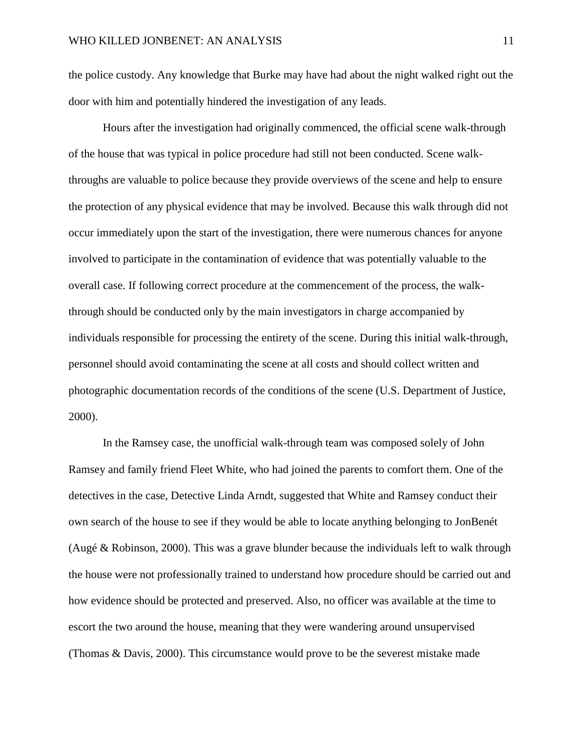the police custody. Any knowledge that Burke may have had about the night walked right out the door with him and potentially hindered the investigation of any leads.

Hours after the investigation had originally commenced, the official scene walk-through of the house that was typical in police procedure had still not been conducted. Scene walkthroughs are valuable to police because they provide overviews of the scene and help to ensure the protection of any physical evidence that may be involved. Because this walk through did not occur immediately upon the start of the investigation, there were numerous chances for anyone involved to participate in the contamination of evidence that was potentially valuable to the overall case. If following correct procedure at the commencement of the process, the walkthrough should be conducted only by the main investigators in charge accompanied by individuals responsible for processing the entirety of the scene. During this initial walk-through, personnel should avoid contaminating the scene at all costs and should collect written and photographic documentation records of the conditions of the scene (U.S. Department of Justice, 2000).

In the Ramsey case, the unofficial walk-through team was composed solely of John Ramsey and family friend Fleet White, who had joined the parents to comfort them. One of the detectives in the case, Detective Linda Arndt, suggested that White and Ramsey conduct their own search of the house to see if they would be able to locate anything belonging to JonBenét (Augé & Robinson, 2000). This was a grave blunder because the individuals left to walk through the house were not professionally trained to understand how procedure should be carried out and how evidence should be protected and preserved. Also, no officer was available at the time to escort the two around the house, meaning that they were wandering around unsupervised (Thomas & Davis, 2000). This circumstance would prove to be the severest mistake made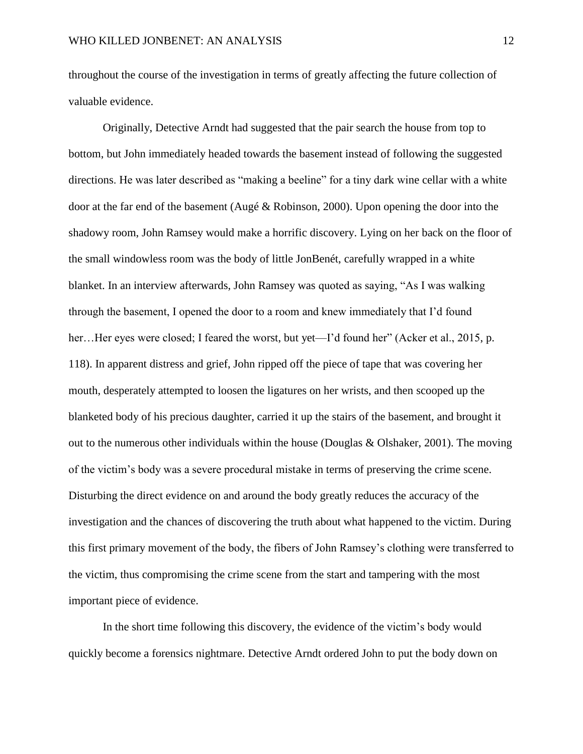throughout the course of the investigation in terms of greatly affecting the future collection of valuable evidence.

Originally, Detective Arndt had suggested that the pair search the house from top to bottom, but John immediately headed towards the basement instead of following the suggested directions. He was later described as "making a beeline" for a tiny dark wine cellar with a white door at the far end of the basement (Augé & Robinson, 2000). Upon opening the door into the shadowy room, John Ramsey would make a horrific discovery. Lying on her back on the floor of the small windowless room was the body of little JonBenét, carefully wrapped in a white blanket. In an interview afterwards, John Ramsey was quoted as saying, "As I was walking through the basement, I opened the door to a room and knew immediately that I'd found her...Her eyes were closed; I feared the worst, but yet—I'd found her" (Acker et al., 2015, p. 118). In apparent distress and grief, John ripped off the piece of tape that was covering her mouth, desperately attempted to loosen the ligatures on her wrists, and then scooped up the blanketed body of his precious daughter, carried it up the stairs of the basement, and brought it out to the numerous other individuals within the house (Douglas & Olshaker, 2001). The moving of the victim's body was a severe procedural mistake in terms of preserving the crime scene. Disturbing the direct evidence on and around the body greatly reduces the accuracy of the investigation and the chances of discovering the truth about what happened to the victim. During this first primary movement of the body, the fibers of John Ramsey's clothing were transferred to the victim, thus compromising the crime scene from the start and tampering with the most important piece of evidence.

In the short time following this discovery, the evidence of the victim's body would quickly become a forensics nightmare. Detective Arndt ordered John to put the body down on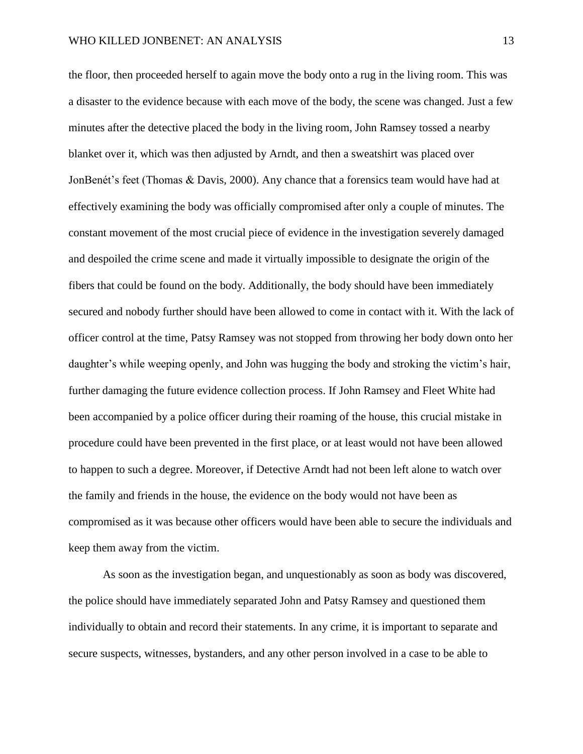the floor, then proceeded herself to again move the body onto a rug in the living room. This was a disaster to the evidence because with each move of the body, the scene was changed. Just a few minutes after the detective placed the body in the living room, John Ramsey tossed a nearby blanket over it, which was then adjusted by Arndt, and then a sweatshirt was placed over JonBenét's feet (Thomas & Davis, 2000). Any chance that a forensics team would have had at effectively examining the body was officially compromised after only a couple of minutes. The constant movement of the most crucial piece of evidence in the investigation severely damaged and despoiled the crime scene and made it virtually impossible to designate the origin of the fibers that could be found on the body. Additionally, the body should have been immediately secured and nobody further should have been allowed to come in contact with it. With the lack of officer control at the time, Patsy Ramsey was not stopped from throwing her body down onto her daughter's while weeping openly, and John was hugging the body and stroking the victim's hair, further damaging the future evidence collection process. If John Ramsey and Fleet White had been accompanied by a police officer during their roaming of the house, this crucial mistake in procedure could have been prevented in the first place, or at least would not have been allowed to happen to such a degree. Moreover, if Detective Arndt had not been left alone to watch over the family and friends in the house, the evidence on the body would not have been as compromised as it was because other officers would have been able to secure the individuals and keep them away from the victim.

As soon as the investigation began, and unquestionably as soon as body was discovered, the police should have immediately separated John and Patsy Ramsey and questioned them individually to obtain and record their statements. In any crime, it is important to separate and secure suspects, witnesses, bystanders, and any other person involved in a case to be able to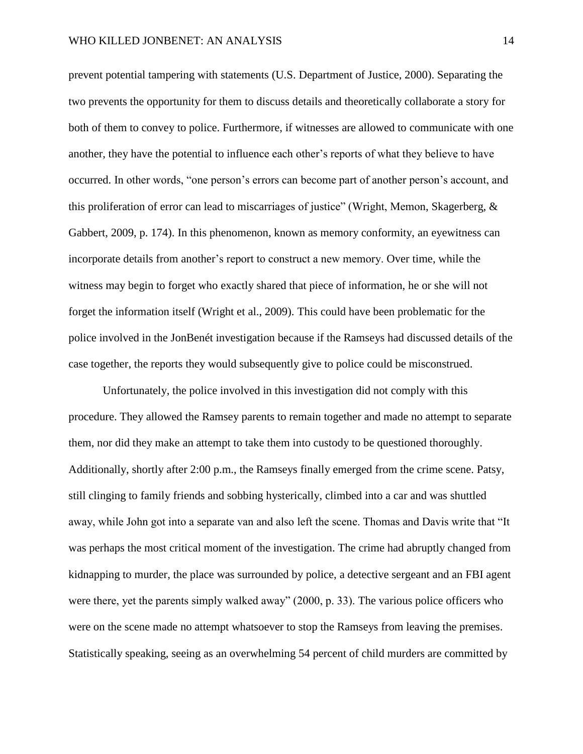prevent potential tampering with statements (U.S. Department of Justice, 2000). Separating the two prevents the opportunity for them to discuss details and theoretically collaborate a story for both of them to convey to police. Furthermore, if witnesses are allowed to communicate with one another, they have the potential to influence each other's reports of what they believe to have occurred. In other words, "one person's errors can become part of another person's account, and this proliferation of error can lead to miscarriages of justice" (Wright, Memon, Skagerberg, & Gabbert, 2009, p. 174). In this phenomenon, known as memory conformity, an eyewitness can incorporate details from another's report to construct a new memory. Over time, while the witness may begin to forget who exactly shared that piece of information, he or she will not forget the information itself (Wright et al., 2009). This could have been problematic for the police involved in the JonBenét investigation because if the Ramseys had discussed details of the case together, the reports they would subsequently give to police could be misconstrued.

Unfortunately, the police involved in this investigation did not comply with this procedure. They allowed the Ramsey parents to remain together and made no attempt to separate them, nor did they make an attempt to take them into custody to be questioned thoroughly. Additionally, shortly after 2:00 p.m., the Ramseys finally emerged from the crime scene. Patsy, still clinging to family friends and sobbing hysterically, climbed into a car and was shuttled away, while John got into a separate van and also left the scene. Thomas and Davis write that "It was perhaps the most critical moment of the investigation. The crime had abruptly changed from kidnapping to murder, the place was surrounded by police, a detective sergeant and an FBI agent were there, yet the parents simply walked away" (2000, p. 33). The various police officers who were on the scene made no attempt whatsoever to stop the Ramseys from leaving the premises. Statistically speaking, seeing as an overwhelming 54 percent of child murders are committed by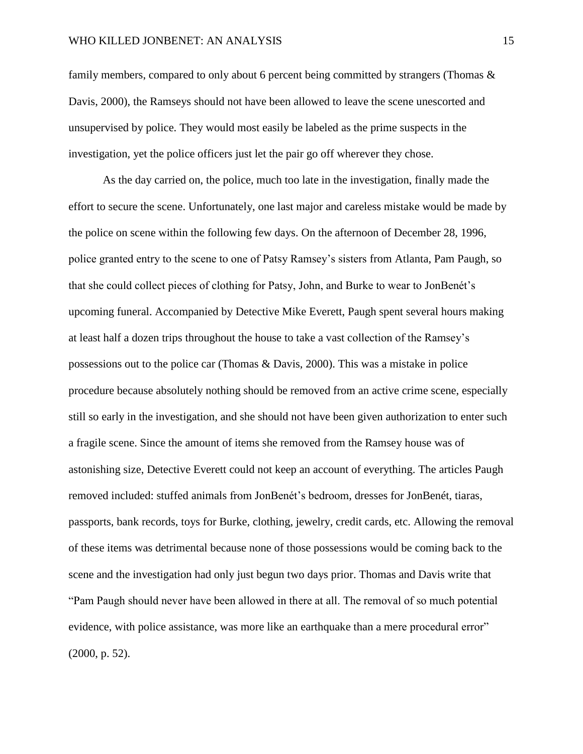family members, compared to only about 6 percent being committed by strangers (Thomas & Davis, 2000), the Ramseys should not have been allowed to leave the scene unescorted and unsupervised by police. They would most easily be labeled as the prime suspects in the investigation, yet the police officers just let the pair go off wherever they chose.

As the day carried on, the police, much too late in the investigation, finally made the effort to secure the scene. Unfortunately, one last major and careless mistake would be made by the police on scene within the following few days. On the afternoon of December 28, 1996, police granted entry to the scene to one of Patsy Ramsey's sisters from Atlanta, Pam Paugh, so that she could collect pieces of clothing for Patsy, John, and Burke to wear to JonBenét's upcoming funeral. Accompanied by Detective Mike Everett, Paugh spent several hours making at least half a dozen trips throughout the house to take a vast collection of the Ramsey's possessions out to the police car (Thomas & Davis, 2000). This was a mistake in police procedure because absolutely nothing should be removed from an active crime scene, especially still so early in the investigation, and she should not have been given authorization to enter such a fragile scene. Since the amount of items she removed from the Ramsey house was of astonishing size, Detective Everett could not keep an account of everything. The articles Paugh removed included: stuffed animals from JonBenét's bedroom, dresses for JonBenét, tiaras, passports, bank records, toys for Burke, clothing, jewelry, credit cards, etc. Allowing the removal of these items was detrimental because none of those possessions would be coming back to the scene and the investigation had only just begun two days prior. Thomas and Davis write that "Pam Paugh should never have been allowed in there at all. The removal of so much potential evidence, with police assistance, was more like an earthquake than a mere procedural error" (2000, p. 52).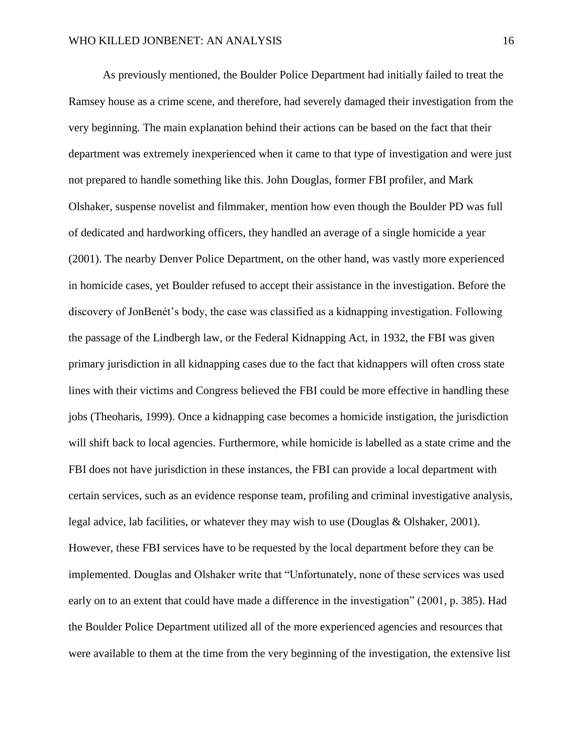As previously mentioned, the Boulder Police Department had initially failed to treat the Ramsey house as a crime scene, and therefore, had severely damaged their investigation from the very beginning. The main explanation behind their actions can be based on the fact that their department was extremely inexperienced when it came to that type of investigation and were just not prepared to handle something like this. John Douglas, former FBI profiler, and Mark Olshaker, suspense novelist and filmmaker, mention how even though the Boulder PD was full of dedicated and hardworking officers, they handled an average of a single homicide a year (2001). The nearby Denver Police Department, on the other hand, was vastly more experienced in homicide cases, yet Boulder refused to accept their assistance in the investigation. Before the discovery of JonBenét's body, the case was classified as a kidnapping investigation. Following the passage of the Lindbergh law, or the Federal Kidnapping Act, in 1932, the FBI was given primary jurisdiction in all kidnapping cases due to the fact that kidnappers will often cross state lines with their victims and Congress believed the FBI could be more effective in handling these jobs (Theoharis, 1999). Once a kidnapping case becomes a homicide instigation, the jurisdiction will shift back to local agencies. Furthermore, while homicide is labelled as a state crime and the FBI does not have jurisdiction in these instances, the FBI can provide a local department with certain services, such as an evidence response team, profiling and criminal investigative analysis, legal advice, lab facilities, or whatever they may wish to use (Douglas & Olshaker, 2001). However, these FBI services have to be requested by the local department before they can be implemented. Douglas and Olshaker write that "Unfortunately, none of these services was used early on to an extent that could have made a difference in the investigation" (2001, p. 385). Had the Boulder Police Department utilized all of the more experienced agencies and resources that were available to them at the time from the very beginning of the investigation, the extensive list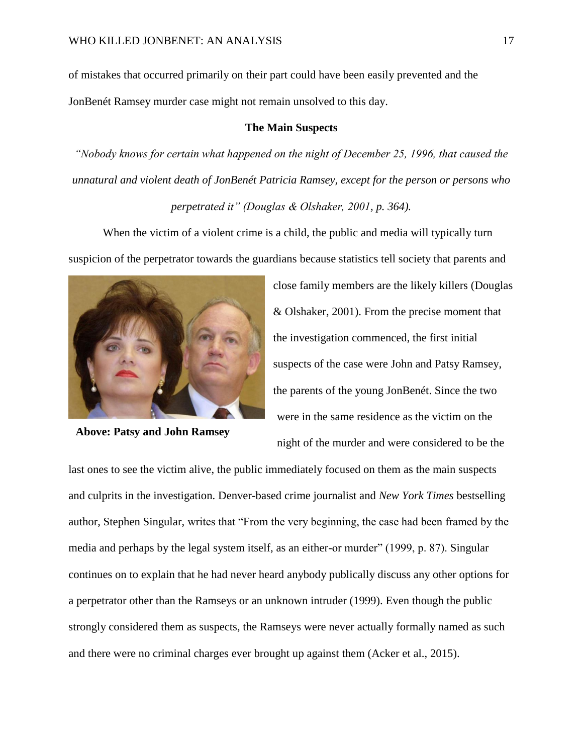of mistakes that occurred primarily on their part could have been easily prevented and the JonBenét Ramsey murder case might not remain unsolved to this day.

## **The Main Suspects**

*"Nobody knows for certain what happened on the night of December 25, 1996, that caused the unnatural and violent death of JonBenét Patricia Ramsey, except for the person or persons who perpetrated it" (Douglas & Olshaker, 2001, p. 364).* 

When the victim of a violent crime is a child, the public and media will typically turn suspicion of the perpetrator towards the guardians because statistics tell society that parents and



**Above: Patsy and John Ramsey**

close family members are the likely killers (Douglas & Olshaker, 2001). From the precise moment that the investigation commenced, the first initial suspects of the case were John and Patsy Ramsey, the parents of the young JonBenét. Since the two were in the same residence as the victim on the night of the murder and were considered to be the

last ones to see the victim alive, the public immediately focused on them as the main suspects and culprits in the investigation. Denver-based crime journalist and *New York Times* bestselling author, Stephen Singular, writes that "From the very beginning, the case had been framed by the media and perhaps by the legal system itself, as an either-or murder" (1999, p. 87). Singular continues on to explain that he had never heard anybody publically discuss any other options for a perpetrator other than the Ramseys or an unknown intruder (1999). Even though the public strongly considered them as suspects, the Ramseys were never actually formally named as such and there were no criminal charges ever brought up against them (Acker et al., 2015).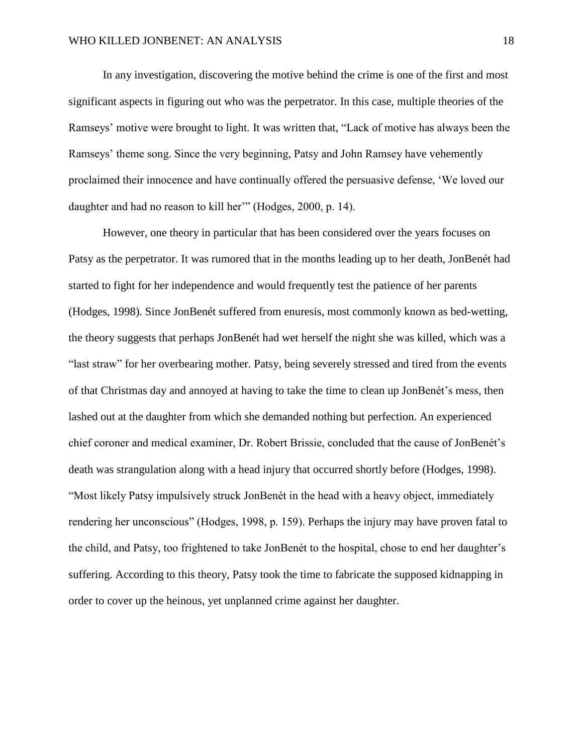In any investigation, discovering the motive behind the crime is one of the first and most significant aspects in figuring out who was the perpetrator. In this case, multiple theories of the Ramseys' motive were brought to light. It was written that, "Lack of motive has always been the Ramseys' theme song. Since the very beginning, Patsy and John Ramsey have vehemently proclaimed their innocence and have continually offered the persuasive defense, 'We loved our daughter and had no reason to kill her'" (Hodges, 2000, p. 14).

However, one theory in particular that has been considered over the years focuses on Patsy as the perpetrator. It was rumored that in the months leading up to her death, JonBenét had started to fight for her independence and would frequently test the patience of her parents (Hodges, 1998). Since JonBenét suffered from enuresis, most commonly known as bed-wetting, the theory suggests that perhaps JonBenét had wet herself the night she was killed, which was a "last straw" for her overbearing mother. Patsy, being severely stressed and tired from the events of that Christmas day and annoyed at having to take the time to clean up JonBenét's mess, then lashed out at the daughter from which she demanded nothing but perfection. An experienced chief coroner and medical examiner, Dr. Robert Brissie, concluded that the cause of JonBenét's death was strangulation along with a head injury that occurred shortly before (Hodges, 1998). "Most likely Patsy impulsively struck JonBenét in the head with a heavy object, immediately rendering her unconscious" (Hodges, 1998, p. 159). Perhaps the injury may have proven fatal to the child, and Patsy, too frightened to take JonBenét to the hospital, chose to end her daughter's suffering. According to this theory, Patsy took the time to fabricate the supposed kidnapping in order to cover up the heinous, yet unplanned crime against her daughter.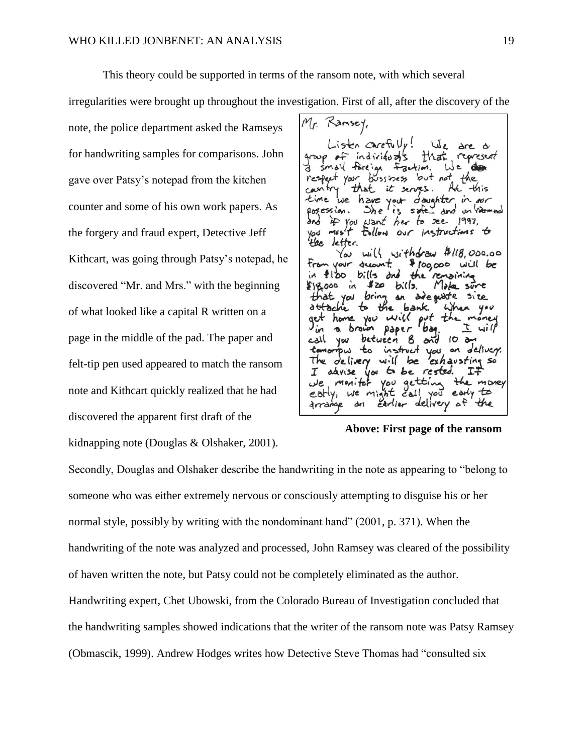gave over Patsy's notepad from the kitchen

the forgery and fraud expert, Detective Jeff

of what looked like a capital R written on a

page in the middle of the pad. The paper and

Mr. Ramsey, note, the police department asked the Ramseys Listen carefully! We  $\text{are } \alpha$ for handwriting samples for comparisons. John group of individuals represent that small foreign faction.  $L$ der but not respect your  $b$ ussiness that 让 have your doughter  $\dot{m}$  as counter and some of his own work papers. As logession. safe and un hismed  $She$ if you want her to see 1997, must follow our instructions to You tke letter.  $with$  sithdraw  $#118,000.00$ Yω Kithcart, was going through Patsy's notepad, he \$ 100,000 will be vour suant  $b:$   $15$  and the remaining  $f|_{\infty}$ discovered "Mr. and Mrs." with the beginning  $120$  bills.  $818000$  in Make sure side guiste size that you bring attache bank. When you money home you  $widmathcal{L}$ 7 أالمى YOU between  $10a$ and instruct on deliver. łш  $\epsilon$ you. The delivery  $with$ be exhausting so felt-tip pen used appeared to match the ransom advise you to be rested. I you  $\omega e$ monitor getting the money note and Kithcart quickly realized that he had early, we might early to  $\epsilon$ all you carlier delivery of drrange

This theory could be supported in terms of the ransom note, with which several

irregularities were brought up throughout the investigation. First of all, after the discovery of the

kidnapping note (Douglas & Olshaker, 2001).

discovered the apparent first draft of the

**Above: First page of the ransom** 

Secondly, Douglas and Olshaker describe the handwriting in the note as appearing to "belong to someone who was either extremely nervous or consciously attempting to disguise his or her normal style, possibly by writing with the nondominant hand" (2001, p. 371). When the handwriting of the note was analyzed and processed, John Ramsey was cleared of the possibility of haven written the note, but Patsy could not be completely eliminated as the author. Handwriting expert, Chet Ubowski, from the Colorado Bureau of Investigation concluded that the handwriting samples showed indications that the writer of the ransom note was Patsy Ramsey (Obmascik, 1999). Andrew Hodges writes how Detective Steve Thomas had "consulted six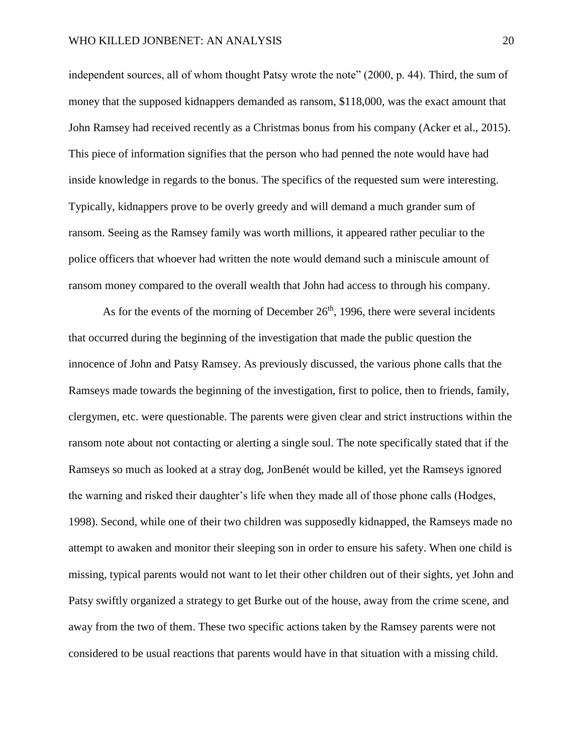independent sources, all of whom thought Patsy wrote the note" (2000, p. 44). Third, the sum of money that the supposed kidnappers demanded as ransom, \$118,000, was the exact amount that John Ramsey had received recently as a Christmas bonus from his company (Acker et al., 2015). This piece of information signifies that the person who had penned the note would have had inside knowledge in regards to the bonus. The specifics of the requested sum were interesting. Typically, kidnappers prove to be overly greedy and will demand a much grander sum of ransom. Seeing as the Ramsey family was worth millions, it appeared rather peculiar to the police officers that whoever had written the note would demand such a miniscule amount of ransom money compared to the overall wealth that John had access to through his company.

As for the events of the morning of December  $26<sup>th</sup>$ , 1996, there were several incidents that occurred during the beginning of the investigation that made the public question the innocence of John and Patsy Ramsey. As previously discussed, the various phone calls that the Ramseys made towards the beginning of the investigation, first to police, then to friends, family, clergymen, etc. were questionable. The parents were given clear and strict instructions within the ransom note about not contacting or alerting a single soul. The note specifically stated that if the Ramseys so much as looked at a stray dog, JonBenét would be killed, yet the Ramseys ignored the warning and risked their daughter's life when they made all of those phone calls (Hodges, 1998). Second, while one of their two children was supposedly kidnapped, the Ramseys made no attempt to awaken and monitor their sleeping son in order to ensure his safety. When one child is missing, typical parents would not want to let their other children out of their sights, yet John and Patsy swiftly organized a strategy to get Burke out of the house, away from the crime scene, and away from the two of them. These two specific actions taken by the Ramsey parents were not considered to be usual reactions that parents would have in that situation with a missing child.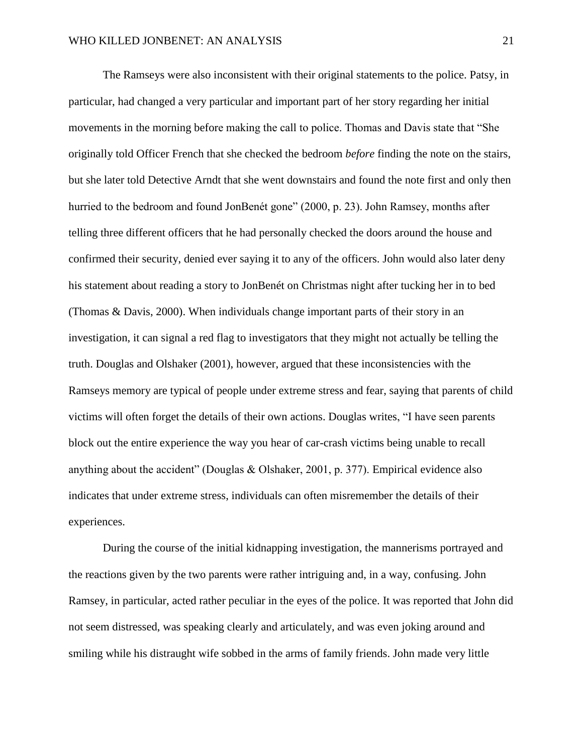The Ramseys were also inconsistent with their original statements to the police. Patsy, in particular, had changed a very particular and important part of her story regarding her initial movements in the morning before making the call to police. Thomas and Davis state that "She originally told Officer French that she checked the bedroom *before* finding the note on the stairs, but she later told Detective Arndt that she went downstairs and found the note first and only then hurried to the bedroom and found JonBenét gone" (2000, p. 23). John Ramsey, months after telling three different officers that he had personally checked the doors around the house and confirmed their security, denied ever saying it to any of the officers. John would also later deny his statement about reading a story to JonBenét on Christmas night after tucking her in to bed (Thomas & Davis, 2000). When individuals change important parts of their story in an investigation, it can signal a red flag to investigators that they might not actually be telling the truth. Douglas and Olshaker (2001), however, argued that these inconsistencies with the Ramseys memory are typical of people under extreme stress and fear, saying that parents of child victims will often forget the details of their own actions. Douglas writes, "I have seen parents block out the entire experience the way you hear of car-crash victims being unable to recall anything about the accident" (Douglas & Olshaker, 2001, p. 377). Empirical evidence also indicates that under extreme stress, individuals can often misremember the details of their experiences.

During the course of the initial kidnapping investigation, the mannerisms portrayed and the reactions given by the two parents were rather intriguing and, in a way, confusing. John Ramsey, in particular, acted rather peculiar in the eyes of the police. It was reported that John did not seem distressed, was speaking clearly and articulately, and was even joking around and smiling while his distraught wife sobbed in the arms of family friends. John made very little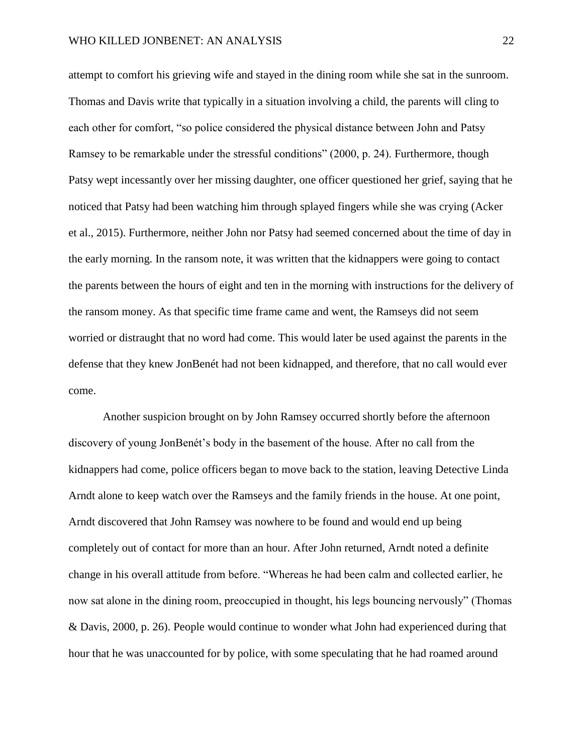attempt to comfort his grieving wife and stayed in the dining room while she sat in the sunroom. Thomas and Davis write that typically in a situation involving a child, the parents will cling to each other for comfort, "so police considered the physical distance between John and Patsy Ramsey to be remarkable under the stressful conditions" (2000, p. 24). Furthermore, though Patsy wept incessantly over her missing daughter, one officer questioned her grief, saying that he noticed that Patsy had been watching him through splayed fingers while she was crying (Acker et al., 2015). Furthermore, neither John nor Patsy had seemed concerned about the time of day in the early morning. In the ransom note, it was written that the kidnappers were going to contact the parents between the hours of eight and ten in the morning with instructions for the delivery of the ransom money. As that specific time frame came and went, the Ramseys did not seem worried or distraught that no word had come. This would later be used against the parents in the defense that they knew JonBenét had not been kidnapped, and therefore, that no call would ever come.

Another suspicion brought on by John Ramsey occurred shortly before the afternoon discovery of young JonBenét's body in the basement of the house. After no call from the kidnappers had come, police officers began to move back to the station, leaving Detective Linda Arndt alone to keep watch over the Ramseys and the family friends in the house. At one point, Arndt discovered that John Ramsey was nowhere to be found and would end up being completely out of contact for more than an hour. After John returned, Arndt noted a definite change in his overall attitude from before. "Whereas he had been calm and collected earlier, he now sat alone in the dining room, preoccupied in thought, his legs bouncing nervously" (Thomas & Davis, 2000, p. 26). People would continue to wonder what John had experienced during that hour that he was unaccounted for by police, with some speculating that he had roamed around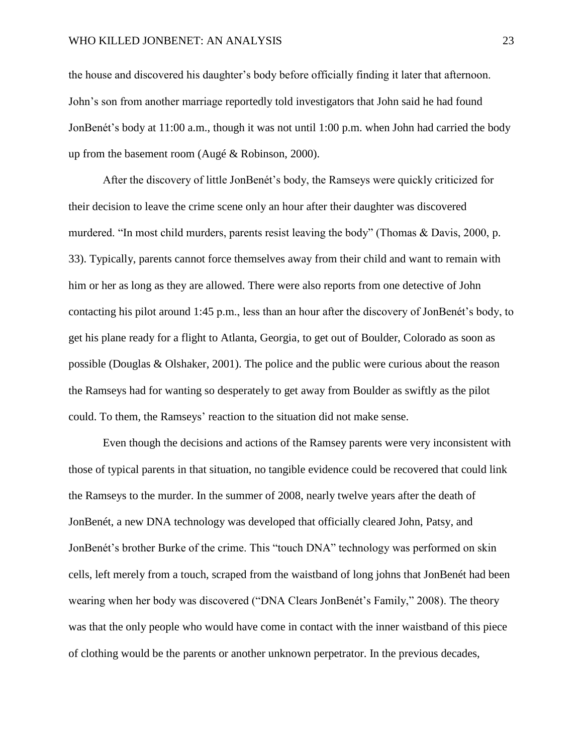the house and discovered his daughter's body before officially finding it later that afternoon. John's son from another marriage reportedly told investigators that John said he had found JonBenét's body at 11:00 a.m., though it was not until 1:00 p.m. when John had carried the body up from the basement room (Augé & Robinson, 2000).

After the discovery of little JonBenét's body, the Ramseys were quickly criticized for their decision to leave the crime scene only an hour after their daughter was discovered murdered. "In most child murders, parents resist leaving the body" (Thomas & Davis, 2000, p. 33). Typically, parents cannot force themselves away from their child and want to remain with him or her as long as they are allowed. There were also reports from one detective of John contacting his pilot around 1:45 p.m., less than an hour after the discovery of JonBenét's body, to get his plane ready for a flight to Atlanta, Georgia, to get out of Boulder, Colorado as soon as possible (Douglas & Olshaker, 2001). The police and the public were curious about the reason the Ramseys had for wanting so desperately to get away from Boulder as swiftly as the pilot could. To them, the Ramseys' reaction to the situation did not make sense.

Even though the decisions and actions of the Ramsey parents were very inconsistent with those of typical parents in that situation, no tangible evidence could be recovered that could link the Ramseys to the murder. In the summer of 2008, nearly twelve years after the death of JonBenét, a new DNA technology was developed that officially cleared John, Patsy, and JonBenét's brother Burke of the crime. This "touch DNA" technology was performed on skin cells, left merely from a touch, scraped from the waistband of long johns that JonBenét had been wearing when her body was discovered ("DNA Clears JonBenét's Family," 2008). The theory was that the only people who would have come in contact with the inner waistband of this piece of clothing would be the parents or another unknown perpetrator. In the previous decades,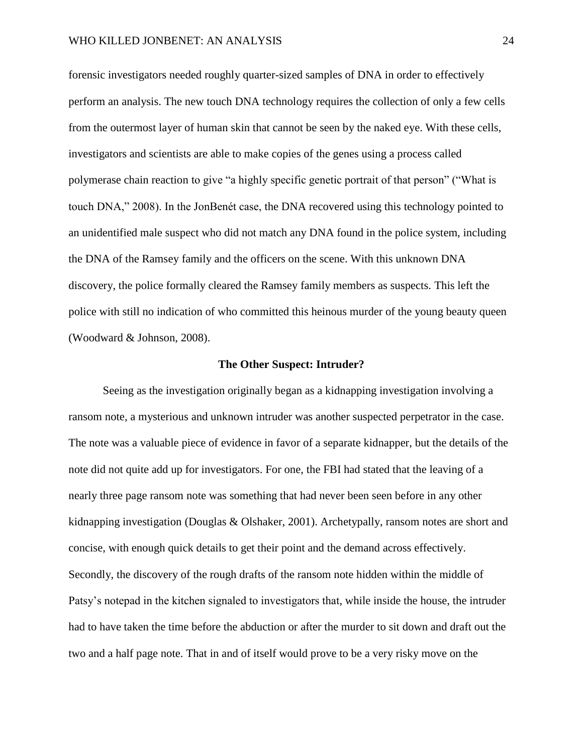forensic investigators needed roughly quarter-sized samples of DNA in order to effectively perform an analysis. The new touch DNA technology requires the collection of only a few cells from the outermost layer of human skin that cannot be seen by the naked eye. With these cells, investigators and scientists are able to make copies of the genes using a process called polymerase chain reaction to give "a highly specific genetic portrait of that person" ("What is touch DNA," 2008). In the JonBenét case, the DNA recovered using this technology pointed to an unidentified male suspect who did not match any DNA found in the police system, including the DNA of the Ramsey family and the officers on the scene. With this unknown DNA discovery, the police formally cleared the Ramsey family members as suspects. This left the police with still no indication of who committed this heinous murder of the young beauty queen (Woodward & Johnson, 2008).

#### **The Other Suspect: Intruder?**

Seeing as the investigation originally began as a kidnapping investigation involving a ransom note, a mysterious and unknown intruder was another suspected perpetrator in the case. The note was a valuable piece of evidence in favor of a separate kidnapper, but the details of the note did not quite add up for investigators. For one, the FBI had stated that the leaving of a nearly three page ransom note was something that had never been seen before in any other kidnapping investigation (Douglas & Olshaker, 2001). Archetypally, ransom notes are short and concise, with enough quick details to get their point and the demand across effectively. Secondly, the discovery of the rough drafts of the ransom note hidden within the middle of Patsy's notepad in the kitchen signaled to investigators that, while inside the house, the intruder had to have taken the time before the abduction or after the murder to sit down and draft out the two and a half page note. That in and of itself would prove to be a very risky move on the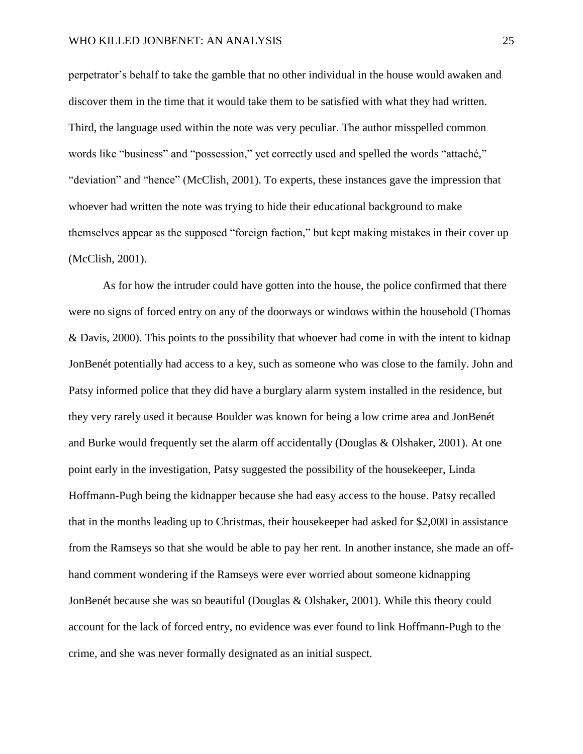perpetrator's behalf to take the gamble that no other individual in the house would awaken and discover them in the time that it would take them to be satisfied with what they had written. Third, the language used within the note was very peculiar. The author misspelled common words like "business" and "possession," yet correctly used and spelled the words "attaché," "deviation" and "hence" (McClish, 2001). To experts, these instances gave the impression that whoever had written the note was trying to hide their educational background to make themselves appear as the supposed "foreign faction," but kept making mistakes in their cover up (McClish, 2001).

As for how the intruder could have gotten into the house, the police confirmed that there were no signs of forced entry on any of the doorways or windows within the household (Thomas & Davis, 2000). This points to the possibility that whoever had come in with the intent to kidnap JonBenét potentially had access to a key, such as someone who was close to the family. John and Patsy informed police that they did have a burglary alarm system installed in the residence, but they very rarely used it because Boulder was known for being a low crime area and JonBenét and Burke would frequently set the alarm off accidentally (Douglas & Olshaker, 2001). At one point early in the investigation, Patsy suggested the possibility of the housekeeper, Linda Hoffmann-Pugh being the kidnapper because she had easy access to the house. Patsy recalled that in the months leading up to Christmas, their housekeeper had asked for \$2,000 in assistance from the Ramseys so that she would be able to pay her rent. In another instance, she made an offhand comment wondering if the Ramseys were ever worried about someone kidnapping JonBenét because she was so beautiful (Douglas & Olshaker, 2001). While this theory could account for the lack of forced entry, no evidence was ever found to link Hoffmann-Pugh to the crime, and she was never formally designated as an initial suspect.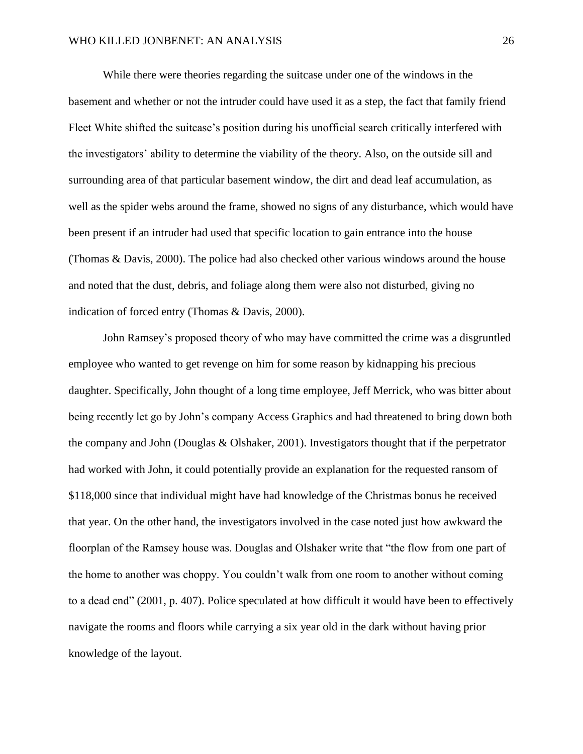While there were theories regarding the suitcase under one of the windows in the basement and whether or not the intruder could have used it as a step, the fact that family friend Fleet White shifted the suitcase's position during his unofficial search critically interfered with the investigators' ability to determine the viability of the theory. Also, on the outside sill and surrounding area of that particular basement window, the dirt and dead leaf accumulation, as well as the spider webs around the frame, showed no signs of any disturbance, which would have been present if an intruder had used that specific location to gain entrance into the house (Thomas & Davis, 2000). The police had also checked other various windows around the house and noted that the dust, debris, and foliage along them were also not disturbed, giving no indication of forced entry (Thomas & Davis, 2000).

John Ramsey's proposed theory of who may have committed the crime was a disgruntled employee who wanted to get revenge on him for some reason by kidnapping his precious daughter. Specifically, John thought of a long time employee, Jeff Merrick, who was bitter about being recently let go by John's company Access Graphics and had threatened to bring down both the company and John (Douglas & Olshaker, 2001). Investigators thought that if the perpetrator had worked with John, it could potentially provide an explanation for the requested ransom of \$118,000 since that individual might have had knowledge of the Christmas bonus he received that year. On the other hand, the investigators involved in the case noted just how awkward the floorplan of the Ramsey house was. Douglas and Olshaker write that "the flow from one part of the home to another was choppy. You couldn't walk from one room to another without coming to a dead end" (2001, p. 407). Police speculated at how difficult it would have been to effectively navigate the rooms and floors while carrying a six year old in the dark without having prior knowledge of the layout.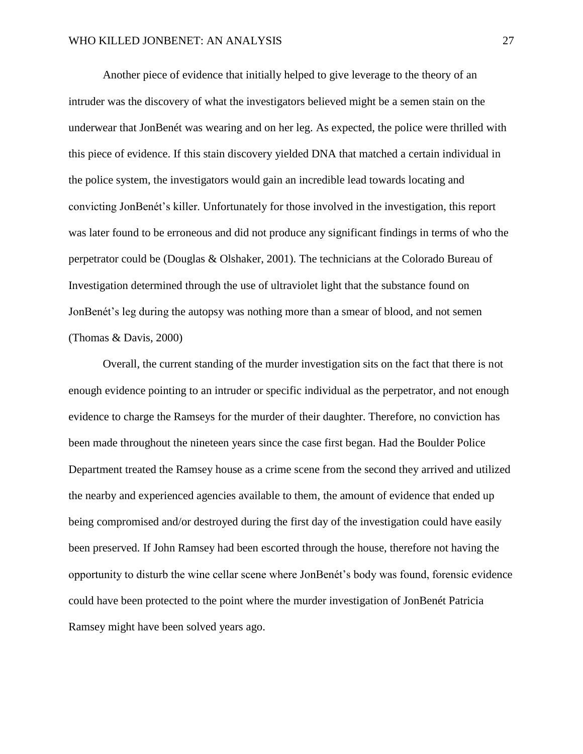Another piece of evidence that initially helped to give leverage to the theory of an intruder was the discovery of what the investigators believed might be a semen stain on the underwear that JonBenét was wearing and on her leg. As expected, the police were thrilled with this piece of evidence. If this stain discovery yielded DNA that matched a certain individual in the police system, the investigators would gain an incredible lead towards locating and convicting JonBenét's killer. Unfortunately for those involved in the investigation, this report was later found to be erroneous and did not produce any significant findings in terms of who the perpetrator could be (Douglas & Olshaker, 2001). The technicians at the Colorado Bureau of Investigation determined through the use of ultraviolet light that the substance found on JonBenét's leg during the autopsy was nothing more than a smear of blood, and not semen (Thomas & Davis, 2000)

Overall, the current standing of the murder investigation sits on the fact that there is not enough evidence pointing to an intruder or specific individual as the perpetrator, and not enough evidence to charge the Ramseys for the murder of their daughter. Therefore, no conviction has been made throughout the nineteen years since the case first began. Had the Boulder Police Department treated the Ramsey house as a crime scene from the second they arrived and utilized the nearby and experienced agencies available to them, the amount of evidence that ended up being compromised and/or destroyed during the first day of the investigation could have easily been preserved. If John Ramsey had been escorted through the house, therefore not having the opportunity to disturb the wine cellar scene where JonBenét's body was found, forensic evidence could have been protected to the point where the murder investigation of JonBenét Patricia Ramsey might have been solved years ago.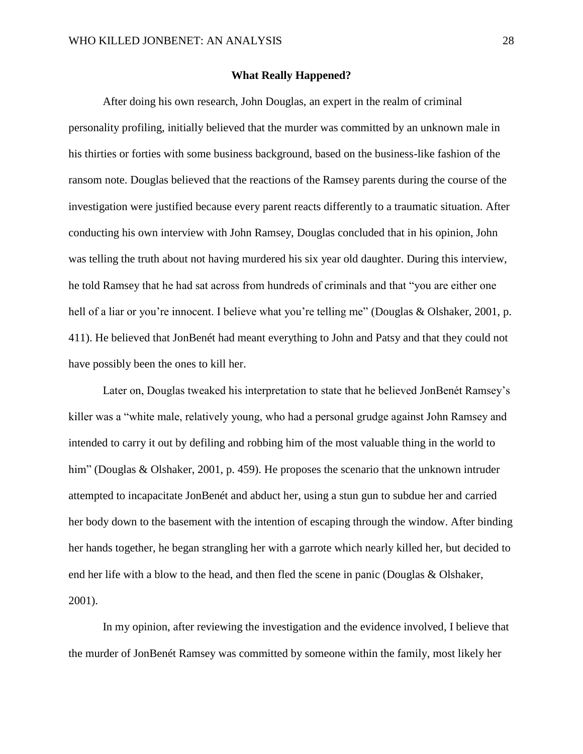### **What Really Happened?**

After doing his own research, John Douglas, an expert in the realm of criminal personality profiling, initially believed that the murder was committed by an unknown male in his thirties or forties with some business background, based on the business-like fashion of the ransom note. Douglas believed that the reactions of the Ramsey parents during the course of the investigation were justified because every parent reacts differently to a traumatic situation. After conducting his own interview with John Ramsey, Douglas concluded that in his opinion, John was telling the truth about not having murdered his six year old daughter. During this interview, he told Ramsey that he had sat across from hundreds of criminals and that "you are either one hell of a liar or you're innocent. I believe what you're telling me" (Douglas & Olshaker, 2001, p. 411). He believed that JonBenét had meant everything to John and Patsy and that they could not have possibly been the ones to kill her.

Later on, Douglas tweaked his interpretation to state that he believed JonBenét Ramsey's killer was a "white male, relatively young, who had a personal grudge against John Ramsey and intended to carry it out by defiling and robbing him of the most valuable thing in the world to him" (Douglas & Olshaker, 2001, p. 459). He proposes the scenario that the unknown intruder attempted to incapacitate JonBenét and abduct her, using a stun gun to subdue her and carried her body down to the basement with the intention of escaping through the window. After binding her hands together, he began strangling her with a garrote which nearly killed her, but decided to end her life with a blow to the head, and then fled the scene in panic (Douglas & Olshaker, 2001).

In my opinion, after reviewing the investigation and the evidence involved, I believe that the murder of JonBenét Ramsey was committed by someone within the family, most likely her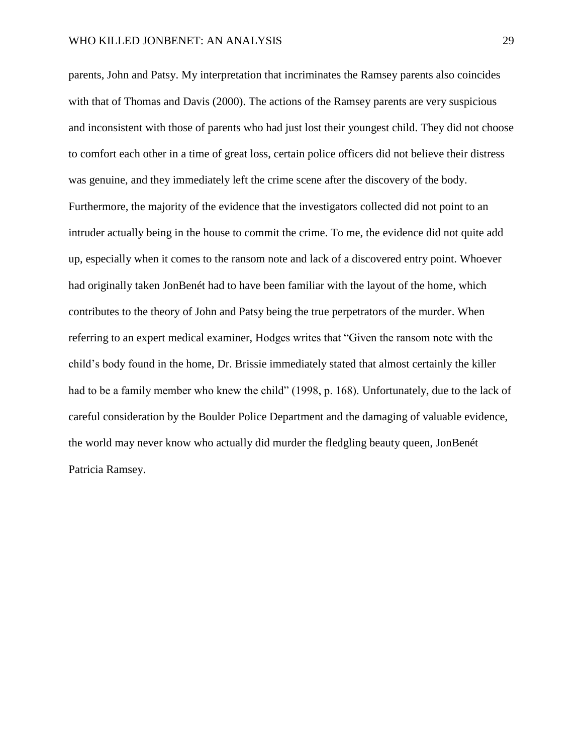parents, John and Patsy. My interpretation that incriminates the Ramsey parents also coincides with that of Thomas and Davis (2000). The actions of the Ramsey parents are very suspicious and inconsistent with those of parents who had just lost their youngest child. They did not choose to comfort each other in a time of great loss, certain police officers did not believe their distress was genuine, and they immediately left the crime scene after the discovery of the body. Furthermore, the majority of the evidence that the investigators collected did not point to an intruder actually being in the house to commit the crime. To me, the evidence did not quite add up, especially when it comes to the ransom note and lack of a discovered entry point. Whoever had originally taken JonBenét had to have been familiar with the layout of the home, which contributes to the theory of John and Patsy being the true perpetrators of the murder. When referring to an expert medical examiner, Hodges writes that "Given the ransom note with the child's body found in the home, Dr. Brissie immediately stated that almost certainly the killer had to be a family member who knew the child" (1998, p. 168). Unfortunately, due to the lack of careful consideration by the Boulder Police Department and the damaging of valuable evidence, the world may never know who actually did murder the fledgling beauty queen, JonBenét Patricia Ramsey.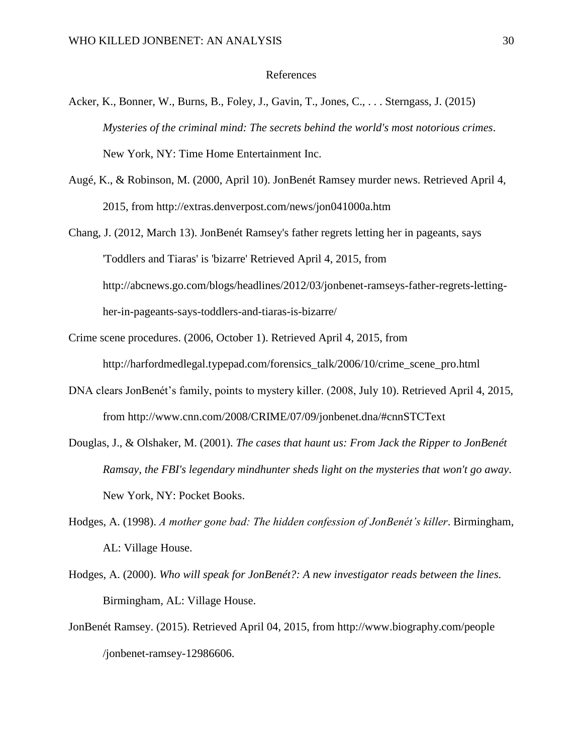#### References

- Acker, K., Bonner, W., Burns, B., Foley, J., Gavin, T., Jones, C., . . . Sterngass, J. (2015) *Mysteries of the criminal mind: The secrets behind the world's most notorious crimes*. New York, NY: Time Home Entertainment Inc.
- Augé, K., & Robinson, M. (2000, April 10). JonBenét Ramsey murder news. Retrieved April 4, 2015, from http://extras.denverpost.com/news/jon041000a.htm
- Chang, J. (2012, March 13). JonBenét Ramsey's father regrets letting her in pageants, says 'Toddlers and Tiaras' is 'bizarre' Retrieved April 4, 2015, from http://abcnews.go.com/blogs/headlines/2012/03/jonbenet-ramseys-father-regrets-lettingher-in-pageants-says-toddlers-and-tiaras-is-bizarre/
- Crime scene procedures. (2006, October 1). Retrieved April 4, 2015, from http://harfordmedlegal.typepad.com/forensics\_talk/2006/10/crime\_scene\_pro.html
- DNA clears JonBenét's family, points to mystery killer. (2008, July 10). Retrieved April 4, 2015, from http://www.cnn.com/2008/CRIME/07/09/jonbenet.dna/#cnnSTCText
- Douglas, J., & Olshaker, M. (2001). *The cases that haunt us: From Jack the Ripper to JonBenét Ramsay, the FBI's legendary mindhunter sheds light on the mysteries that won't go away*. New York, NY: Pocket Books.
- Hodges, A. (1998). *A mother gone bad: The hidden confession of JonBenét's killer*. Birmingham, AL: Village House.
- Hodges, A. (2000). *Who will speak for JonBenét?: A new investigator reads between the lines.* Birmingham, AL: Village House.
- JonBenét Ramsey. (2015). Retrieved April 04, 2015, from http://www.biography.com/people /jonbenet-ramsey-12986606.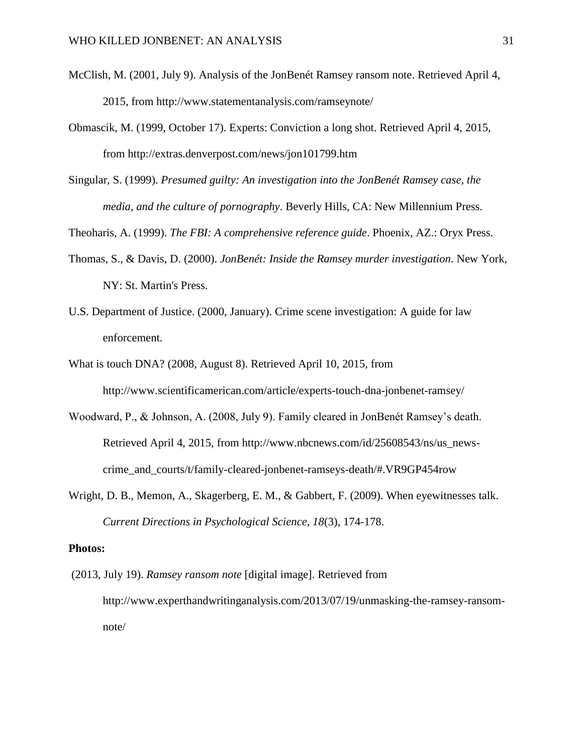- McClish, M. (2001, July 9). Analysis of the JonBenét Ramsey ransom note. Retrieved April 4, 2015, from http://www.statementanalysis.com/ramseynote/
- Obmascik, M. (1999, October 17). Experts: Conviction a long shot. Retrieved April 4, 2015, from http://extras.denverpost.com/news/jon101799.htm
- Singular, S. (1999). *Presumed guilty: An investigation into the JonBenét Ramsey case, the media, and the culture of pornography*. Beverly Hills, CA: New Millennium Press.
- Theoharis, A. (1999). *The FBI: A comprehensive reference guide*. Phoenix, AZ.: Oryx Press.
- Thomas, S., & Davis, D. (2000). *JonBenét: Inside the Ramsey murder investigation*. New York, NY: St. Martin's Press.
- U.S. Department of Justice. (2000, January). Crime scene investigation: A guide for law enforcement.
- What is touch DNA? (2008, August 8). Retrieved April 10, 2015, from http://www.scientificamerican.com/article/experts-touch-dna-jonbenet-ramsey/
- Woodward, P., & Johnson, A. (2008, July 9). Family cleared in JonBenét Ramsey's death. Retrieved April 4, 2015, from http://www.nbcnews.com/id/25608543/ns/us\_newscrime\_and\_courts/t/family-cleared-jonbenet-ramseys-death/#.VR9GP454row
- Wright, D. B., Memon, A., Skagerberg, E. M., & Gabbert, F. (2009). When eyewitnesses talk. *Current Directions in Psychological Science, 18*(3), 174-178.

### **Photos:**

(2013, July 19). *Ramsey ransom note* [digital image]. Retrieved from http://www.experthandwritinganalysis.com/2013/07/19/unmasking-the-ramsey-ransomnote/